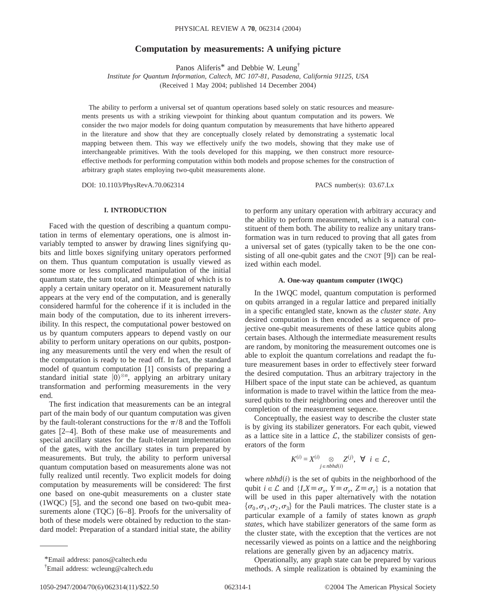# **Computation by measurements: A unifying picture**

Panos Aliferis\* and Debbie W. Leung†

*Institute for Quantum Information, Caltech, MC 107-81, Pasadena, California 91125, USA* (Received 1 May 2004; published 14 December 2004)

The ability to perform a universal set of quantum operations based solely on static resources and measurements presents us with a striking viewpoint for thinking about quantum computation and its powers. We consider the two major models for doing quantum computation by measurements that have hitherto appeared in the literature and show that they are conceptually closely related by demonstrating a systematic local mapping between them. This way we effectively unify the two models, showing that they make use of interchangeable primitives. With the tools developed for this mapping, we then construct more resourceeffective methods for performing computation within both models and propose schemes for the construction of arbitrary graph states employing two-qubit measurements alone.

DOI: 10.1103/PhysRevA.70.062314 PACS number(s): 03.67.Lx

## **I. INTRODUCTION**

Faced with the question of describing a quantum computation in terms of elementary operations, one is almost invariably tempted to answer by drawing lines signifying qubits and little boxes signifying unitary operators performed on them. Thus quantum computation is usually viewed as some more or less complicated manipulation of the initial quantum state, the sum total, and ultimate goal of which is to apply a certain unitary operator on it. Measurement naturally appears at the very end of the computation, and is generally considered harmful for the coherence if it is included in the main body of the computation, due to its inherent irreversibility. In this respect, the computational power bestowed on us by quantum computers appears to depend vastly on our ability to perform unitary operations on our qubits, postponing any measurements until the very end when the result of the computation is ready to be read off. In fact, the standard model of quantum computation [1] consists of preparing a standard initial state  $|0\rangle^{\otimes n}$ , applying an arbitrary unitary transformation and performing measurements in the very end.

The first indication that measurements can be an integral part of the main body of our quantum computation was given by the fault-tolerant constructions for the  $\pi/8$  and the Toffoli gates [2–4]. Both of these make use of measurements and special ancillary states for the fault-tolerant implementation of the gates, with the ancillary states in turn prepared by measurements. But truly, the ability to perform universal quantum computation based on measurements alone was not fully realized until recently. Two explicit models for doing computation by measurements will be considered: The first one based on one-qubit measurements on a cluster state (1WQC) [5], and the second one based on two-qubit measurements alone (TQC) [6–8]. Proofs for the universality of both of these models were obtained by reduction to the standard model: Preparation of a standard initial state, the ability to perform any unitary operation with arbitrary accuracy and the ability to perform measurement, which is a natural constituent of them both. The ability to realize any unitary transformation was in turn reduced to proving that all gates from a universal set of gates (typically taken to be the one consisting of all one-qubit gates and the CNOT [9]) can be realized within each model.

### **A. One-way quantum computer (1WQC)**

In the 1WQC model, quantum computation is performed on qubits arranged in a regular lattice and prepared initially in a specific entangled state, known as the *cluster state*. Any desired computation is then encoded as a sequence of projective one-qubit measurements of these lattice qubits along certain bases. Although the intermediate measurement results are random, by monitoring the measurement outcomes one is able to exploit the quantum correlations and readapt the future measurement bases in order to effectively steer forward the desired computation. Thus an arbitrary trajectory in the Hilbert space of the input state can be achieved, as quantum information is made to travel within the lattice from the measured qubits to their neighboring ones and thereover until the completion of the measurement sequence.

Conceptually, the easiest way to describe the cluster state is by giving its stabilizer generators. For each qubit, viewed as a lattice site in a lattice  $\mathcal{L}$ , the stabilizer consists of generators of the form

$$
K^{(i)} = X^{(i)} \underset{j \in nbhd(i)}{\otimes} Z^{(j)}, \ \ \forall \ \ i \in \mathcal{L},
$$

where  $nbhd(i)$  is the set of qubits in the neighborhood of the qubit  $i \in \mathcal{L}$  and  ${I, X \equiv \sigma_x, Y \equiv \sigma_y, Z \equiv \sigma_z}$  is a notation that will be used in this paper alternatively with the notation  $\{\sigma_0, \sigma_1, \sigma_2, \sigma_3\}$  for the Pauli matrices. The cluster state is a particular example of a family of states known as *graph states*, which have stabilizer generators of the same form as the cluster state, with the exception that the vertices are not necessarily viewed as points on a lattice and the neighboring relations are generally given by an adjacency matrix.

Operationally, any graph state can be prepared by various methods. A simple realization is obtained by examining the

<sup>\*</sup>Email address: panos@caltech.edu

<sup>†</sup> Email address: wcleung@caltech.edu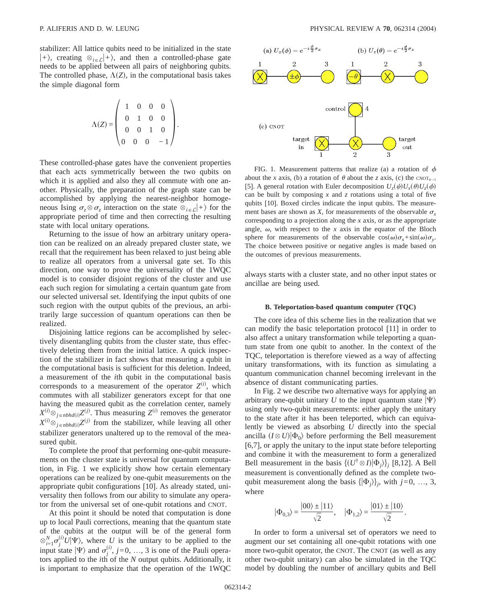stabilizer: All lattice qubits need to be initialized in the state  $|+\rangle$ , creating  $\otimes_{i\in\mathcal{L}}|+\rangle$ , and then a controlled-phase gate needs to be applied between all pairs of neighboring qubits. The controlled phase,  $\Lambda(Z)$ , in the computational basis takes the simple diagonal form

$$
\Lambda(Z) = \begin{pmatrix} 1 & 0 & 0 & 0 \\ 0 & 1 & 0 & 0 \\ 0 & 0 & 1 & 0 \\ 0 & 0 & 0 & -1 \end{pmatrix}.
$$

These controlled-phase gates have the convenient properties that each acts symmetrically between the two qubits on which it is applied and also they all commute with one another. Physically, the preparation of the graph state can be accomplished by applying the nearest-neighbor homogeneous Ising  $\sigma_z \otimes \sigma_z$  interaction on the state  $\otimes_{i \in \mathcal{L}} |+\rangle$  for the appropriate period of time and then correcting the resulting state with local unitary operations.

Returning to the issue of how an arbitrary unitary operation can be realized on an already prepared cluster state, we recall that the requirement has been relaxed to just being able to realize all operators from a universal gate set. To this direction, one way to prove the universality of the 1WQC model is to consider disjoint regions of the cluster and use each such region for simulating a certain quantum gate from our selected universal set. Identifying the input qubits of one such region with the output qubits of the previous, an arbitrarily large succession of quantum operations can then be realized.

Disjoining lattice regions can be accomplished by selectively disentangling qubits from the cluster state, thus effectively deleting them from the initial lattice. A quick inspection of the stabilizer in fact shows that measuring a qubit in the computational basis is sufficient for this deletion. Indeed, a measurement of the *i*th qubit in the computational basis corresponds to a measurement of the operator  $Z^{(i)}$ , which commutes with all stabilizer generators except for that one having the measured qubit as the correlation center, namely  $X^{(i)} \otimes_{j \in nbh(d)} Z^{(j)}$ . Thus measuring  $Z^{(i)}$  removes the generator  $X^{(i)} \otimes_{j \in nbh(d)} Z^{(j)}$  from the stabilizer, while leaving all other stabilizer generators unaltered up to the removal of the measured qubit.

To complete the proof that performing one-qubit measurements on the cluster state is universal for quantum computation, in Fig. 1 we explicitly show how certain elementary operations can be realized by one-qubit measurements on the appropriate qubit configurations [10]. As already stated, universality then follows from our ability to simulate any operator from the universal set of one-qubit rotations and CNOT.

At this point it should be noted that computation is done up to local Pauli corrections, meaning that the quantum state of the qubits at the output will be of the general form  $\otimes^{N}_{i=1} \sigma^{(i)}_j U|\Psi\rangle$ , where *U* is the unitary to be applied to the input state  $|\Psi\rangle$  and  $\sigma_j^{(i)}$ ,  $j=0, \ldots, 3$  is one of the Pauli operators applied to the *i*th of the *N* output qubits. Additionally, it is important to emphasize that the operation of the 1WQC



FIG. 1. Measurement patterns that realize (a) a rotation of  $\phi$ about the *x* axis, (b) a rotation of  $\theta$  about the *z* axis, (c) the CNOT<sub>4→1</sub> [5]. A general rotation with Euler decomposition  $U_z(\psi)U_x(\theta)U_z(\phi)$ can be built by composing *x* and *z* rotations using a total of five qubits [10]. Boxed circles indicate the input qubits. The measurement bases are shown as *X*, for measurements of the observable  $\sigma_r$ corresponding to a projection along the *x* axis, or as the appropriate angle,  $\omega$ , with respect to the *x* axis in the equator of the Bloch sphere for measurements of the observable  $cos(\omega)\sigma_x + sin(\omega)\sigma_y$ . The choice between positive or negative angles is made based on the outcomes of previous measurements.

always starts with a cluster state, and no other input states or ancillae are being used.

### **B. Teleportation-based quantum computer (TQC)**

The core idea of this scheme lies in the realization that we can modify the basic teleportation protocol [11] in order to also affect a unitary transformation while teleporting a quantum state from one qubit to another. In the context of the TQC, teleportation is therefore viewed as a way of affecting unitary transformations, with its function as simulating a quantum communication channel becoming irrelevant in the absence of distant communicating parties.

In Fig. 2 we describe two alternative ways for applying an arbitrary one-qubit unitary *U* to the input quantum state  $|\Psi\rangle$ using only two-qubit measurements: either apply the unitary to the state after it has been teleported, which can equivalently be viewed as absorbing *U* directly into the special ancilla  $(I \otimes U) \vert \Phi_0$  before performing the Bell measurement [6,7], or apply the unitary to the input state before teleporting and combine it with the measurement to form a generalized Bell measurement in the basis  $\{ (U^{\dagger} \otimes I) | \Phi_i \rangle \}$ <sub>*i*</sub> [8,12]. A Bell measurement is conventionally defined as the complete twoqubit measurement along the basis  $\{|\Phi_j\rangle\}$ , with *j*=0, …, 3, where

$$
|\Phi_{0,3}\rangle = \frac{|00\rangle \pm |11\rangle}{\sqrt{2}}, \quad |\Phi_{1,2}\rangle = \frac{|01\rangle \pm |10\rangle}{\sqrt{2}}.
$$

In order to form a universal set of operators we need to augment our set containing all one-qubit rotations with one more two-qubit operator, the CNOT. The CNOT (as well as any other two-qubit unitary) can also be simulated in the TQC model by doubling the number of ancillary qubits and Bell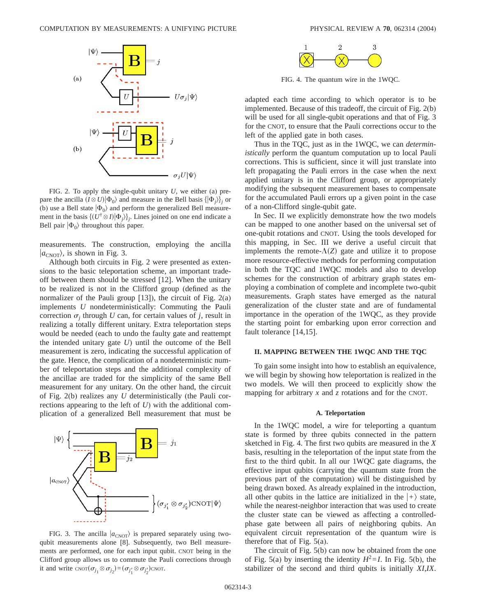

FIG. 2. To apply the single-qubit unitary *U*, we either (a) prepare the ancilla  $(I \otimes U)|\Phi_0\rangle$  and measure in the Bell basis  $\{|\Phi_i\rangle\}_i$  or (b) use a Bell state  $|\Phi_0\rangle$  and perform the generalized Bell measurement in the basis  $\{(U^{\dagger} \otimes I)|\Phi_i\rangle\}$ . Lines joined on one end indicate a Bell pair  $|\Phi_0\rangle$  throughout this paper.

measurements. The construction, employing the ancilla  $|a_{\text{CNOT}}\rangle$ , is shown in Fig. 3.

Although both circuits in Fig. 2 were presented as extensions to the basic teleportation scheme, an important tradeoff between them should be stressed [12]. When the unitary to be realized is not in the Clifford group (defined as the normalizer of the Pauli group  $[13]$ ), the circuit of Fig.  $2(a)$ implements *U* nondeterministically: Commuting the Pauli correction  $\sigma$ ; through *U* can, for certain values of *j*, result in realizing a totally different unitary. Extra teleportation steps would be needed (each to undo the faulty gate and reattempt the intended unitary gate *U*) until the outcome of the Bell measurement is zero, indicating the successful application of the gate. Hence, the complication of a nondeterministic number of teleportation steps and the additional complexity of the ancillae are traded for the simplicity of the same Bell measurement for any unitary. On the other hand, the circuit of Fig. 2(b) realizes any *U* deterministically (the Pauli corrections appearing to the left of *U*) with the additional complication of a generalized Bell measurement that must be



FIG. 3. The ancilla  $|a_{\text{CNOT}}\rangle$  is prepared separately using twoqubit measurements alone [8]. Subsequently, two Bell measurements are performed, one for each input qubit. CNOT being in the Clifford group allows us to commute the Pauli corrections through it and write  $\text{CNOT}(\sigma_{j_1} \otimes \sigma_{j_2}) = (\sigma_{j'_1} \otimes \sigma_{j'_2})\text{CNOT}.$ 



FIG. 4. The quantum wire in the 1WQC.

adapted each time according to which operator is to be implemented. Because of this tradeoff, the circuit of Fig. 2(b) will be used for all single-qubit operations and that of Fig. 3 for the CNOT, to ensure that the Pauli corrections occur to the left of the applied gate in both cases.

Thus in the TQC, just as in the 1WQC, we can *deterministically* perform the quantum computation up to local Pauli corrections. This is sufficient, since it will just translate into left propagating the Pauli errors in the case when the next applied unitary is in the Clifford group, or appropriately modifying the subsequent measurement bases to compensate for the accumulated Pauli errors up a given point in the case of a non-Clifford single-qubit gate.

In Sec. II we explicitly demonstrate how the two models can be mapped to one another based on the universal set of one-qubit rotations and CNOT. Using the tools developed for this mapping, in Sec. III we derive a useful circuit that implements the remote- $\Lambda(Z)$  gate and utilize it to propose more resource-effective methods for performing computation in both the TQC and 1WQC models and also to develop schemes for the construction of arbitrary graph states employing a combination of complete and incomplete two-qubit measurements. Graph states have emerged as the natural generalization of the cluster state and are of fundamental importance in the operation of the 1WQC, as they provide the starting point for embarking upon error correction and fault tolerance [14,15].

## **II. MAPPING BETWEEN THE 1WQC AND THE TQC**

To gain some insight into how to establish an equivalence, we will begin by showing how teleportation is realized in the two models. We will then proceed to explicitly show the mapping for arbitrary *x* and *z* rotations and for the CNOT.

### **A. Teleportation**

In the 1WQC model, a wire for teleporting a quantum state is formed by three qubits connected in the pattern sketched in Fig. 4. The first two qubits are measured in the *X* basis, resulting in the teleportation of the input state from the first to the third qubit. In all our 1WQC gate diagrams, the effective input qubits (carrying the quantum state from the previous part of the computation) will be distinguished by being drawn boxed. As already explained in the introduction, all other qubits in the lattice are initialized in the  $|+\rangle$  state, while the nearest-neighbor interaction that was used to create the cluster state can be viewed as affecting a controlledphase gate between all pairs of neighboring qubits. An equivalent circuit representation of the quantum wire is therefore that of Fig. 5(a).

The circuit of Fig. 5(b) can now be obtained from the one of Fig. 5(a) by inserting the identity  $H^2 = I$ . In Fig. 5(b), the stabilizer of the second and third qubits is initially *XI*,*IX*.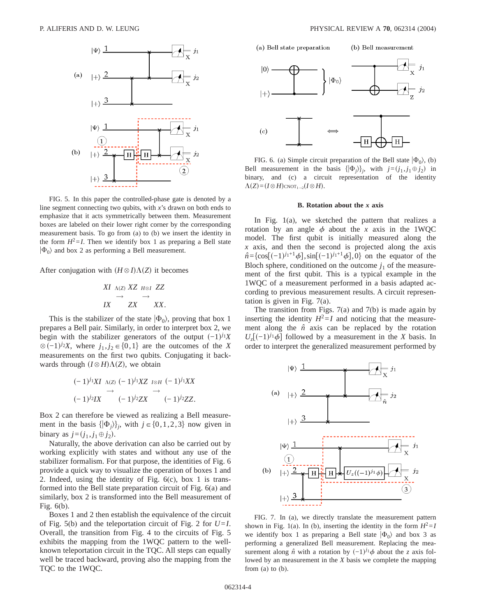

FIG. 5. In this paper the controlled-phase gate is denoted by a line segment connecting two qubits, with *x*'s drawn on both ends to emphasize that it acts symmetrically between them. Measurement boxes are labeled on their lower right corner by the corresponding measurement basis. To go from (a) to (b) we insert the identity in the form  $H^2 = I$ . Then we identify box 1 as preparing a Bell state  $|\Phi_0\rangle$  and box 2 as performing a Bell measurement.

After conjugation with  $(H \otimes I)\Lambda(Z)$  it becomes

$$
XI \xrightarrow{\Lambda(Z)} XZ \xrightarrow{H \otimes I} ZZ
$$
  

$$
IX \xrightarrow{X} ZX.
$$

This is the stabilizer of the state  $|\Phi_0\rangle$ , proving that box 1 prepares a Bell pair. Similarly, in order to interpret box 2, we begin with the stabilizer generators of the output  $(-1)^{j_1}X$  $\otimes$  (−1)<sup>*j*2</sup>*X*, where *j*<sub>1</sub>, *j*<sub>2</sub> ∈ {0,1} are the outcomes of the *X* measurements on the first two qubits. Conjugating it backwards through  $(I \otimes H)\Lambda(Z)$ , we obtain

$$
(-1)^{j_1}X I \underset{(-1)^{j_2}ZX}{\rightarrow} (-1)^{j_1}X Z \underset{(-1)^{j_2}ZX}{\rightarrow} (-1)^{j_2}X
$$

Box 2 can therefore be viewed as realizing a Bell measurement in the basis  $\{|\Phi_j\rangle\}_j$ , with  $j \in \{0, 1, 2, 3\}$  now given in binary as  $j = (j_1, j_1 \oplus j_2)$ .

Naturally, the above derivation can also be carried out by working explicitly with states and without any use of the stabilizer formalism. For that purpose, the identities of Fig. 6 provide a quick way to visualize the operation of boxes 1 and 2. Indeed, using the identity of Fig. 6(c), box 1 is transformed into the Bell state preparation circuit of Fig. 6(a) and similarly, box 2 is transformed into the Bell measurement of Fig. 6(b).

Boxes 1 and 2 then establish the equivalence of the circuit of Fig. 5(b) and the teleportation circuit of Fig. 2 for *U*=*I*. Overall, the transition from Fig. 4 to the circuits of Fig. 5 exhibits the mapping from the 1WQC pattern to the wellknown teleportation circuit in the TQC. All steps can equally well be traced backward, proving also the mapping from the TQC to the 1WQC.



FIG. 6. (a) Simple circuit preparation of the Bell state  $|\Phi_0\rangle$ , (b) Bell measurement in the basis  $\{|\Phi_j\rangle\}$ , with  $j=(j_1, j_1 \oplus j_2)$  in binary, and (c) a circuit representation of the identity  $\Lambda$  $(Z) = (I \otimes H)$ CNOT<sub>1→2</sub> $(I \otimes H)$ .

## **B. Rotation about the** *x* **axis**

In Fig. 1(a), we sketched the pattern that realizes a rotation by an angle  $\phi$  about the *x* axis in the 1WQC model. The first qubit is initially measured along the *x* axis, and then the second is projected along the axis  $\hat{n} = {\cos[(-1)^{j_1+1}\phi]}$ ,  $\sin[(-1)^{j_1+1}\phi]$ , 0} on the equator of the Bloch sphere, conditioned on the outcome  $j_1$  of the measurement of the first qubit. This is a typical example in the 1WQC of a measurement performed in a basis adapted according to previous measurement results. A circuit representation is given in Fig. 7(a).

The transition from Figs.  $7(a)$  and  $7(b)$  is made again by inserting the identity  $H^2 = I$  and noticing that the measurement along the  $\hat{n}$  axis can be replaced by the rotation  $U_{\tau}$ [ $(-1)^{j_1}\phi$ ] followed by a measurement in the *X* basis. In order to interpret the generalized measurement performed by



FIG. 7. In (a), we directly translate the measurement pattern shown in Fig. 1(a). In (b), inserting the identity in the form  $H^2 = I$ we identify box 1 as preparing a Bell state  $|\Phi_0\rangle$  and box 3 as performing a generalized Bell measurement. Replacing the measurement along  $\hat{n}$  with a rotation by  $(-1)^{j_1}\phi$  about the *z* axis followed by an measurement in the *X* basis we complete the mapping from  $(a)$  to  $(b)$ .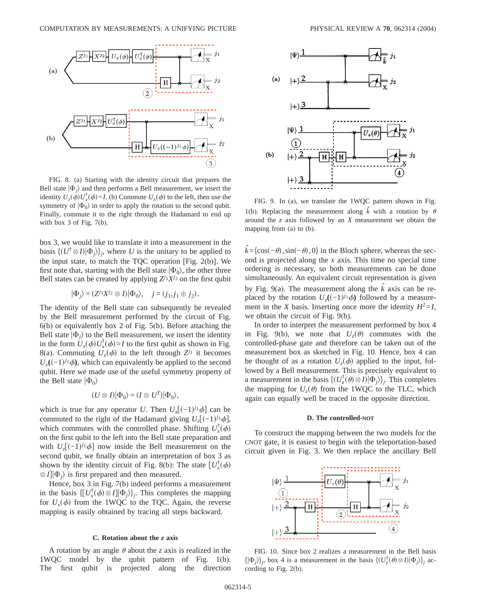

FIG. 8. (a) Starting with the identity circuit that prepares the Bell state  $|\Phi_j\rangle$  and then performs a Bell measurement, we insert the identity  $U_x(\phi)U_x^{\dagger}(\phi) = I$ . (b) Commute  $U_x(\phi)$  to the left, then use the symmetry of  $|\Phi_0\rangle$  in order to apply the rotation to the second qubit. Finally, commute it to the right through the Hadamard to end up with box 3 of Fig. 7(b).

box 3, we would like to translate it into a measurement in the basis  $\{ (U^{\dagger} \otimes I) | \Phi_i \}$ , where *U* is the unitary to be applied to the input state, to match the TQC operation [Fig. 2(b)]. We first note that, starting with the Bell state  $|\Phi_0\rangle$ , the other three Bell states can be created by applying  $Z^{j_1}X^{j_2}$  on the first qubit

$$
\vert \Phi_j \rangle = (Z^{j_1} X^{j_2} \otimes I) \vert \Phi_0 \rangle, \quad j = (j_1, j_1 \oplus j_2).
$$

The identity of the Bell state can subsequently be revealed by the Bell measurement performed by the circuit of Fig. 6(b) or equivalently box 2 of Fig. 5(b). Before attaching the Bell state  $|\Phi_i\rangle$  to the Bell measurement, we insert the identity in the form  $U_x(\phi)U_x^{\dagger}(\phi)=I$  to the first qubit as shown in Fig. 8(a). Commuting  $U_x(\phi)$  to the left through  $Z^{j_1}$  it becomes  $U_x$ ( $(-1)^{j_1}\phi$ ), which can equivalently be applied to the second qubit. Here we made use of the useful symmetry property of the Bell state  $|\Phi_0\rangle$ 

$$
(U \otimes I)|\Phi_0\rangle = (I \otimes U^T)|\Phi_0\rangle,
$$

which is true for any operator *U*. Then  $U_x[(-1)^{j_1}\phi]$  can be commuted to the right of the Hadamard giving  $U_7$ [ $(-1)^{j_1}\phi$ ], which commutes with the controlled phase. Shifting  $U_x^{\dagger}(\phi)$ on the first qubit to the left into the Bell state preparation and with  $U_7[-1)^{j_1}\phi$  now inside the Bell measurement on the second qubit, we finally obtain an interpretation of box 3 as shown by the identity circuit of Fig. 8(b): The state  $[U_x^{\dagger}(\phi)]$  $\otimes$ *I*] $\Phi$ <sub>*i*</sub> $\rangle$  is first prepared and then measured.

Hence, box 3 in Fig. 7(b) indeed performs a measurement in the basis  $\{ [U_x^{\dagger}(\phi) \otimes I] | \Phi_j \rangle \}_j$ . This completes the mapping for  $U_r(\phi)$  from the 1WQC to the TQC. Again, the reverse mapping is easily obtained by tracing all steps backward.

### **C. Rotation about the** *z* **axis**

A rotation by an angle  $\theta$  about the *z* axis is realized in the 1WQC model by the qubit pattern of Fig. 1(b). The first qubit is projected along the direction



FIG. 9. In (a), we translate the 1WQC pattern shown in Fig. 1(b). Replacing the measurement along  $\hat{k}$  with a rotation by  $\theta$ around the *z* axis followed by an *X* measurement we obtain the mapping from (a) to (b).

 $\hat{k} = \{\cos(-\theta), \sin(-\theta), 0\}$  in the Bloch sphere, whereas the second is projected along the *x* axis. This time no special time ordering is necessary, so both measurements can be done simultaneously. An equivalent circuit representation is given by Fig. 9(a). The measurement along the  $\hat{k}$  axis can be replaced by the rotation  $U_7(-1)^{j_1}\phi$  followed by a measurement in the *X* basis. Inserting once more the identity  $H^2 = I$ , we obtain the circuit of Fig. 9(b).

In order to interpret the measurement performed by box 4 in Fig. 9(b), we note that  $U_z(\theta)$  commutes with the controlled-phase gate and therefore can be taken out of the measurement box as sketched in Fig. 10. Hence, box 4 can be thought of as a rotation  $U_z(\phi)$  applied to the input, followed by a Bell measurement. This is precisely equivalent to a measurement in the basis  $\{ (U_z^{\dagger}(\theta) \otimes I) | \Phi_j \rangle \}$ . This completes the mapping for  $U_z(\theta)$  from the 1WQC to the TLC, which again can equally well be traced in the opposite direction.

#### **D. The controlled-NOT**

To construct the mapping between the two models for the CNOT gate, it is easiest to begin with the teleportation-based circuit given in Fig. 3. We then replace the ancillary Bell



FIG. 10. Since box 2 realizes a measurement in the Bell basis  $\{|\Phi_j\rangle\}_j$ , box 4 is a measurement in the basis  $\{(\vec{U}_z^{\dagger}(\theta) \otimes \vec{I}) | \Phi_j\rangle\}_j$  according to Fig. 2(b).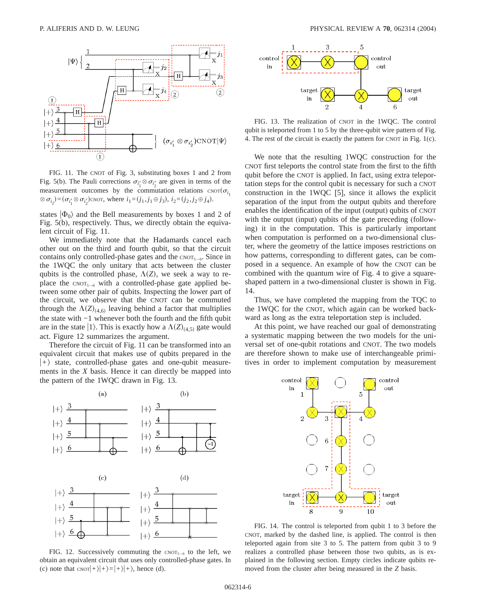

FIG. 11. The CNOT of Fig. 3, substituting boxes 1 and 2 from Fig. 5(b). The Pauli corrections  $\sigma_{i'_1} \otimes \sigma_{i'_2}$  are given in terms of the measurement outcomes by the commutation relations  $CNOT_{i_1}$  $\otimes \sigma_{i_2}$  =  $(\sigma_{i'_1} \otimes \sigma_{i'_2})$  cnor, where  $i_1 = (j_1, j_1 \oplus j_3), i_2 = (j_2, j_2 \oplus j_4)$ .

states  $|\Phi_0\rangle$  and the Bell measurements by boxes 1 and 2 of Fig. 5(b), respectively. Thus, we directly obtain the equivalent circuit of Fig. 11.

We immediately note that the Hadamards cancel each other out on the third and fourth qubit, so that the circuit contains only controlled-phase gates and the  $CNOT$ <sub>5→6</sub>. Since in the 1WQC the only unitary that acts between the cluster qubits is the controlled phase,  $\Lambda(Z)$ , we seek a way to replace the  $CNOT_{5\rightarrow 6}$  with a controlled-phase gate applied between some other pair of qubits. Inspecting the lower part of the circuit, we observe that the CNOT can be commuted through the  $\Lambda(Z)_{(4,6)}$  leaving behind a factor that multiplies the state with −1 whenever both the fourth and the fifth qubit are in the state  $|1\rangle$ . This is exactly how a  $\Lambda(Z)_{(4,5)}$  gate would act. Figure 12 summarizes the argument.

Therefore the circuit of Fig. 11 can be transformed into an equivalent circuit that makes use of qubits prepared in the  $|+\rangle$  state, controlled-phase gates and one-qubit measurements in the *X* basis. Hence it can directly be mapped into the pattern of the 1WQC drawn in Fig. 13.



FIG. 12. Successively commuting the  $CNOT_{5\rightarrow 6}$  to the left, we obtain an equivalent circuit that uses only controlled-phase gates. In (c) note that  $\text{cNOT}|+\rangle|+\rangle=|+\rangle|+\rangle$ , hence (d).



FIG. 13. The realization of CNOT in the 1WQC. The control qubit is teleported from 1 to 5 by the three-qubit wire pattern of Fig. 4. The rest of the circuit is exactly the pattern for CNOT in Fig. 1(c).

We note that the resulting 1WQC construction for the CNOT first teleports the control state from the first to the fifth qubit before the CNOT is applied. In fact, using extra teleportation steps for the control qubit is necessary for such a CNOT construction in the 1WQC [5], since it allows the explicit separation of the input from the output qubits and therefore enables the identification of the input (output) qubits of CNOT with the output (input) qubits of the gate preceding (following) it in the computation. This is particularly important when computation is performed on a two-dimensional cluster, where the geometry of the lattice imposes restrictions on how patterns, corresponding to different gates, can be composed in a sequence. An example of how the CNOT can be combined with the quantum wire of Fig. 4 to give a squareshaped pattern in a two-dimensional cluster is shown in Fig. 14.

Thus, we have completed the mapping from the TQC to the 1WQC for the CNOT, which again can be worked backward as long as the extra teleportation step is included.

At this point, we have reached our goal of demonstrating a systematic mapping between the two models for the universal set of one-qubit rotations and CNOT. The two models are therefore shown to make use of interchangeable primitives in order to implement computation by measurement



FIG. 14. The control is teleported from qubit 1 to 3 before the CNOT, marked by the dashed line, is applied. The control is then teleported again from site 3 to 5. The pattern from qubit 3 to 9 realizes a controlled phase between those two qubits, as is explained in the following section. Empty circles indicate qubits removed from the cluster after being measured in the *Z* basis.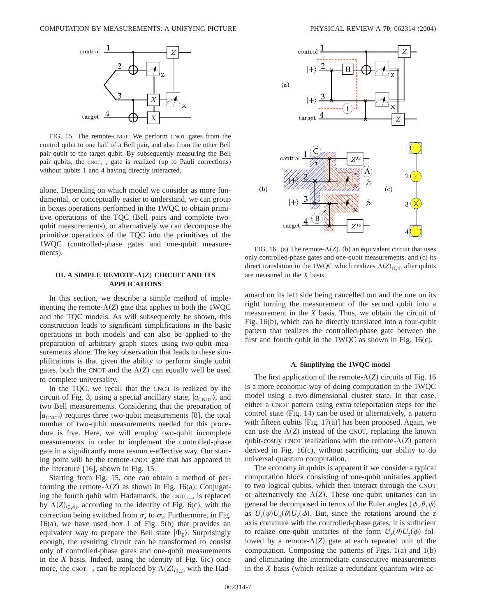

FIG. 15. The remote-CNOT: We perform CNOT gates from the control qubit to one half of a Bell pair, and also from the other Bell pair qubit to the target qubit. By subsequently measuring the Bell pair qubits, the  $CNOT_{1\rightarrow 4}$  gate is realized (up to Pauli corrections) without qubits 1 and 4 having directly interacted.

alone. Depending on which model we consider as more fundamental, or conceptually easier to understand, we can group in boxes operations performed in the 1WQC to obtain primitive operations of the TQC (Bell pairs and complete twoqubit measurements), or alternatively we can decompose the primitive operations of the TQC into the primitives of the 1WQC (controlled-phase gates and one-qubit measurements).

# **III. A SIMPLE REMOTE-** $\Lambda$ **(Z) CIRCUIT AND ITS APPLICATIONS**

In this section, we describe a simple method of implementing the remote- $\Lambda(Z)$  gate that applies to both the 1WQC and the TQC models. As will subsequently be shown, this construction leads to significant simplifications in the basic operations in both models and can also be applied to the preparation of arbitrary graph states using two-qubit measurements alone. The key observation that leads to these simplifications is that given the ability to perform single qubit gates, both the CNOT and the  $\Lambda(Z)$  can equally well be used to complete universality.

In the TQC, we recall that the CNOT is realized by the circuit of Fig. 3, using a special ancillary state,  $|a_{CNOT}\rangle$ , and two Bell measurements. Considering that the preparation of  $|a_{\text{CNOT}}\rangle$  requires three two-qubit measurements [8], the total number of two-qubit measurements needed for this procedure is five. Here, we will employ two-qubit incomplete measurements in order to implement the controlled-phase gate in a significantly more resource-effective way. Our starting point will be the remote-CNOT gate that has appeared in the literature [16], shown in Fig. 15.

Starting from Fig. 15, one can obtain a method of performing the remote- $\Lambda(Z)$  as shown in Fig. 16(a): Conjugating the fourth qubit with Hadamards, the  $CNOT_{3\rightarrow 4}$  is replaced by  $\Lambda(Z)_{(3,4)}$ , according to the identity of Fig. 6(c), with the correction being switched from  $\sigma_r$  to  $\sigma_r$ . Furthermore, in Fig.  $16(a)$ , we have used box 1 of Fig.  $5(b)$  that provides an equivalent way to prepare the Bell state  $|\Phi_0\rangle$ . Surprisingly enough, the resulting circuit can be transformed to consist only of controlled-phase gates and one-qubit measurements in the *X* basis. Indeed, using the identity of Fig. 6(c) once more, the  $CNOT_{1\rightarrow2}$  can be replaced by  $\Lambda(Z)_{(1,2)}$  with the Had-



FIG. 16. (a) The remote- $\Lambda(Z)$ , (b) an equivalent circuit that uses only controlled-phase gates and one-qubit measurements, and (c) its direct translation in the 1WQC which realizes  $\Lambda(Z)_{(1,4)}$  after qubits are measured in the *X* basis.

amard on its left side being cancelled out and the one on its right turning the measurement of the second qubit into a measurement in the *X* basis. Thus, we obtain the circuit of Fig. 16(b), which can be directly translated into a four-qubit pattern that realizes the controlled-phase gate between the first and fourth qubit in the 1WQC as shown in Fig. 16(c).

### **A. Simplifying the 1WQC model**

The first application of the remote- $\Lambda(Z)$  circuits of Fig. 16 is a more economic way of doing computation in the 1WQC model using a two-dimensional cluster state. In that case, either a CNOT pattern using extra teleportation steps for the control state (Fig. 14) can be used or alternatively, a pattern with fifteen qubits  $[Fig. 17(a)]$  has been proposed. Again, we can use the  $\Lambda(Z)$  instead of the CNOT, replacing the known qubit-costly CNOT realizations with the remote- $\Lambda(Z)$  pattern derived in Fig. 16(c), without sacrificing our ability to do universal quantum computation.

The economy in qubits is apparent if we consider a typical computation block consisting of one-qubit unitaries applied to two logical qubits, which then interact through the CNOT or alternatively the  $\Lambda(Z)$ . These one-qubit unitaries can in general be decomposed in terms of the Euler angles ( $\phi$ ,  $\theta$ ,  $\psi$ ) as  $U_z(\psi)U_x(\theta)U_z(\phi)$ . But, since the rotations around the *z* axis commute with the controlled-phase gates, it is sufficient to realize one-qubit unitaries of the form  $U_r(\theta)U_z(\phi)$  followed by a remote- $\Lambda(Z)$  gate at each repeated unit of the computation. Composing the patterns of Figs. 1(a) and 1(b) and eliminating the intermediate consecutive measurements in the *X* basis (which realize a redundant quantum wire ac-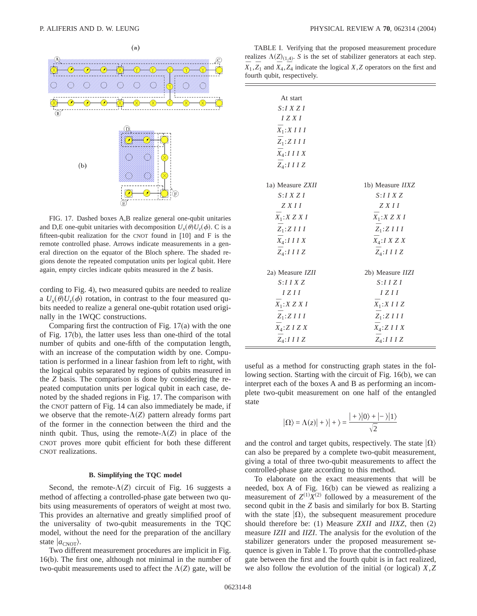

FIG. 17. Dashed boxes A,B realize general one-qubit unitaries and D,E one-qubit unitaries with decomposition  $U_x(\theta)U_z(\phi)$ . C is a fifteen-qubit realization for the CNOT found in [10] and F is the remote controlled phase. Arrows indicate measurements in a general direction on the equator of the Bloch sphere. The shaded regions denote the repeated computation units per logical qubit. Here again, empty circles indicate qubits measured in the *Z* basis.

cording to Fig. 4), two measured qubits are needed to realize a  $U_r(\theta)U_z(\phi)$  rotation, in contrast to the four measured qubits needed to realize a general one-qubit rotation used originally in the 1WQC constructions.

Comparing first the contruction of Fig. 17(a) with the one of Fig. 17(b), the latter uses less than one-third of the total number of qubits and one-fifth of the computation length, with an increase of the computation width by one. Computation is performed in a linear fashion from left to right, with the logical qubits separated by regions of qubits measured in the *Z* basis. The comparison is done by considering the repeated computation units per logical qubit in each case, denoted by the shaded regions in Fig. 17. The comparison with the CNOT pattern of Fig. 14 can also immediately be made, if we observe that the remote- $\Lambda(Z)$  pattern already forms part of the former in the connection between the third and the ninth qubit. Thus, using the remote- $\Lambda(Z)$  in place of the CNOT proves more qubit efficient for both these different CNOT realizations.

## **B. Simplifying the TQC model**

Second, the remote- $\Lambda(Z)$  circuit of Fig. 16 suggests a method of affecting a controlled-phase gate between two qubits using measurements of operators of weight at most two. This provides an alternative and greatly simplified proof of the universality of two-qubit measurements in the TQC model, without the need for the preparation of the ancillary state  $|a_{\text{CNOT}}\rangle$ .

Two different measurement procedures are implicit in Fig. 16(b). The first one, although not minimal in the number of two-qubit measurements used to affect the  $\Lambda(Z)$  gate, will be

TABLE I. Verifying that the proposed measurement procedure realizes  $\Lambda(Z)_{(1,4)}$ . *S* is the set of stabilizer generators at each step.  $\overline{X}_1$ ,  $\overline{Z}_1$  and  $\overline{X}_4$ ,  $\overline{Z}_4$  indicate the logical *X*, *Z* operators on the first and fourth qubit, respectively.

| At start                           |                               |
|------------------------------------|-------------------------------|
| S:I X Z I                          |                               |
| IZXI                               |                               |
| $\overline{X}_1$ : X I I I         |                               |
|                                    |                               |
| $\bar{Z}_1$ : Z I I I              |                               |
| $\overline{X}_4$ : $I$ $I$ $I$ $X$ |                               |
| $\bar{Z}_4$ : $I$ $I$ $I$ $Z$      |                               |
|                                    |                               |
| 1a) Measure ZXII                   | 1b) Measure IIXZ              |
| S:I X Z I                          | S:IIXZ                        |
| ZXII                               | ZXII                          |
| $\overline{X}_1$ : $X Z X I$       | $\overline{X}_1$ : X Z X I    |
| $\bar{Z}_1$ : Z I I I              | $\overline{Z}_1$ : Z I I I    |
| $\bar{X}_4$ : I I I X              | $\bar{X}_4$ : I X Z X         |
| $\bar{Z}_4$ : $I$ $I$ $I$ $Z$      | $\bar{Z}_4$ : <i>IIIZ</i>     |
|                                    |                               |
| 2a) Measure IZII                   | 2b) Measure IIZI              |
| S:IIXZ                             | S:IIZI                        |
| IZII                               | IZII                          |
| $\overline{X}_1$ : X Z X I         | $\overline{X}_1$ : X I I Z    |
| $\bar{Z}_1$ : Z I I I              | $\bar{Z}_1$ : Z I I I         |
| $\overline{X}_4$ : Z I Z X         | $\overline{X}_4$ : Z I I X    |
| $\bar{Z}_4$ : $I$ $I$ $I$ $Z$      | $\bar{Z}_4$ : $I$ $I$ $I$ $Z$ |
|                                    |                               |

useful as a method for constructing graph states in the following section. Starting with the circuit of Fig. 16(b), we can interpret each of the boxes A and B as performing an incomplete two-qubit measurement on one half of the entangled state

$$
|\Omega\rangle = \Lambda(z)| + \rangle| + \rangle = \frac{| + \rangle|0\rangle + | - \rangle|1\rangle}{\sqrt{2}}
$$

and the control and target qubits, respectively. The state  $|\Omega\rangle$ can also be prepared by a complete two-qubit measurement, giving a total of three two-qubit measurements to affect the controlled-phase gate according to this method.

To elaborate on the exact measurements that will be needed, box A of Fig. 16(b) can be viewed as realizing a measurement of  $Z^{(1)}\bar{X}^{(2)}$  followed by a measurement of the second qubit in the *Z* basis and similarly for box B. Starting with the state  $|\Omega\rangle$ , the subsequent measurement procedure should therefore be: (1) Measure *ZXII* and *IIXZ*, then (2) measure *IZII* and *IIZI*. The analysis for the evolution of the stabilizer generators under the proposed measurement sequence is given in Table I. To prove that the controlled-phase gate between the first and the fourth qubit is in fact realized, we also follow the evolution of the initial (or logical) *X*,*Z*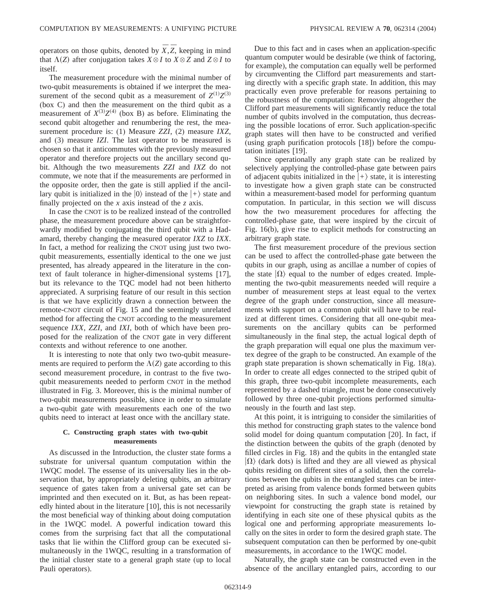operators on those qubits, denoted by  $\overline{X}$ ,  $\overline{Z}$ , keeping in mind that  $\Lambda$ (*Z*) after conjugation takes *X*  $\otimes$  *I* to *X*  $\otimes$  *Z* and *Z* $\otimes$ *I* to

itself. The measurement procedure with the minimal number of two-qubit measurements is obtained if we interpret the measurement of the second qubit as a measurement of  $Z^{(1)}Z^{(3)}$ (box C) and then the measurement on the third qubit as a measurement of  $X^{(3)}Z^{(4)}$  (box B) as before. Eliminating the second qubit altogether and renumbering the rest, the measurement procedure is: (1) Measure *ZZI*, (2) measure *IXZ*, and (3) measure *IZI*. The last operator to be measured is chosen so that it anticommutes with the previously measured operator and therefore projects out the ancillary second qubit. Although the two measurements *ZZI* and *IXZ* do not commute, we note that if the measurements are performed in the opposite order, then the gate is still applied if the ancillary qubit is initialized in the  $|0\rangle$  instead of the  $|+\rangle$  state and finally projected on the *x* axis instead of the *z* axis.

In case the CNOT is to be realized instead of the controlled phase, the measurement procedure above can be straightforwardly modified by conjugating the third qubit with a Hadamard, thereby changing the measured operator *IXZ* to *IXX*. In fact, a method for realizing the CNOT using just two twoqubit measurements, essentially identical to the one we just presented, has already appeared in the literature in the context of fault tolerance in higher-dimensional systems [17], but its relevance to the TQC model had not been hitherto appreciated. A surprising feature of our result in this section is that we have explicitly drawn a connection between the remote-CNOT circuit of Fig. 15 and the seemingly unrelated method for affecting the CNOT according to the measurement sequence *IXX*, *ZZI*, and *IXI*, both of which have been proposed for the realization of the CNOT gate in very different contexts and without reference to one another.

It is interesting to note that only two two-qubit measurements are required to perform the  $\Lambda(Z)$  gate according to this second measurement procedure, in contrast to the five twoqubit measurements needed to perform CNOT in the method illustrated in Fig. 3. Moreover, this is the minimal number of two-qubit measurements possible, since in order to simulate a two-qubit gate with measurements each one of the two qubits need to interact at least once with the ancillary state.

## **C. Constructing graph states with two-qubit measurements**

As discussed in the Introduction, the cluster state forms a substrate for universal quantum computation within the 1WQC model. The essense of its universality lies in the observation that, by appropriately deleting qubits, an arbitrary sequence of gates taken from a universal gate set can be imprinted and then executed on it. But, as has been repeatedly hinted about in the literature [10], this is not necessarily the most beneficial way of thinking about doing computation in the 1WQC model. A powerful indication toward this comes from the surprising fact that all the computational tasks that lie within the Clifford group can be executed simultaneously in the 1WQC, resulting in a transformation of the initial cluster state to a general graph state (up to local Pauli operators).

Due to this fact and in cases when an application-specific quantum computer would be desirable (we think of factoring, for example), the computation can equally well be performed by circumventing the Clifford part measurements and starting directly with a specific graph state. In addition, this may practically even prove preferable for reasons pertaining to the robustness of the computation: Removing altogether the Clifford part measurements will significantly reduce the total number of qubits involved in the computation, thus decreasing the possible locations of error. Such application-specific graph states will then have to be constructed and verified (using graph purification protocols [18]) before the computation initiates [19].

Since operationally any graph state can be realized by selectively applying the controlled-phase gate between pairs of adjacent qubits initialized in the  $\ket{+}$  state, it is interesting to investigate how a given graph state can be constructed within a measurement-based model for performing quantum computation. In particular, in this section we will discuss how the two measurement procedures for affecting the controlled-phase gate, that were inspired by the circuit of Fig. 16(b), give rise to explicit methods for constructing an arbitrary graph state.

The first measurement procedure of the previous section can be used to affect the controlled-phase gate between the qubits in our graph, using as ancillae a number of copies of the state  $|\Omega\rangle$  equal to the number of edges created. Implementing the two-qubit measurements needed will require a number of measurement steps at least equal to the vertex degree of the graph under construction, since all measurements with support on a common qubit will have to be realized at different times. Considering that all one-qubit measurements on the ancillary qubits can be performed simultaneously in the final step, the actual logical depth of the graph preparation will equal one plus the maximum vertex degree of the graph to be constructed. An example of the graph state preparation is shown schematically in Fig. 18(a). In order to create all edges connected to the striped qubit of this graph, three two-qubit incomplete measurements, each represented by a dashed triangle, must be done consecutively followed by three one-qubit projections performed simultaneously in the fourth and last step.

At this point, it is intriguing to consider the similarities of this method for constructing graph states to the valence bond solid model for doing quantum computation [20]. In fact, if the distinction between the qubits of the graph (denoted by filled circles in Fig. 18) and the qubits in the entangled state  $|\Omega\rangle$  (dark dots) is lifted and they are all viewed as physical qubits residing on different sites of a solid, then the correlations between the qubits in the entangled states can be interpreted as arising from valence bonds formed between qubits on neighboring sites. In such a valence bond model, our viewpoint for constructing the graph state is retained by identifying in each site one of these physical qubits as the logical one and performing appropriate measurements locally on the sites in order to form the desired graph state. The subsequent computation can then be performed by one-qubit measurements, in accordance to the 1WQC model.

Naturally, the graph state can be constructed even in the absence of the ancillary entangled pairs, according to our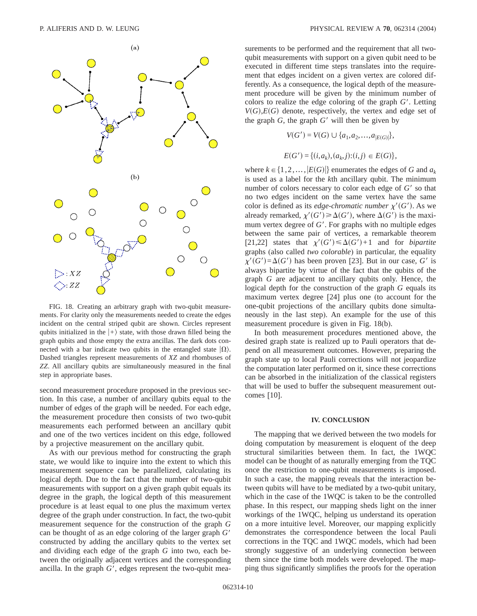

FIG. 18. Creating an arbitrary graph with two-qubit measurements. For clarity only the measurements needed to create the edges incident on the central striped qubit are shown. Circles represent qubits initialized in the  $\ket{+}$  state, with those drawn filled being the graph qubits and those empty the extra ancillas. The dark dots connected with a bar indicate two qubits in the entangled state  $|\Omega\rangle$ . Dashed triangles represent measurements of *XZ* and rhombuses of *ZZ*. All ancillary qubits are simultaneously measured in the final step in appropriate bases.

second measurement procedure proposed in the previous section. In this case, a number of ancillary qubits equal to the number of edges of the graph will be needed. For each edge, the measurement procedure then consists of two two-qubit measurements each performed between an ancillary qubit and one of the two vertices incident on this edge, followed by a projective measurement on the ancillary qubit.

As with our previous method for constructing the graph state, we would like to inquire into the extent to which this measurement sequence can be parallelized, calculating its logical depth. Due to the fact that the number of two-qubit measurements with support on a given graph qubit equals its degree in the graph, the logical depth of this measurement procedure is at least equal to one plus the maximum vertex degree of the graph under construction. In fact, the two-qubit measurement sequence for the construction of the graph *G* can be thought of as an edge coloring of the larger graph  $G<sup>′</sup>$ constructed by adding the ancillary qubits to the vertex set and dividing each edge of the graph *G* into two, each between the originally adjacent vertices and the corresponding ancilla. In the graph  $G'$ , edges represent the two-qubit measurements to be performed and the requirement that all twoqubit measurements with support on a given qubit need to be executed in different time steps translates into the requirement that edges incident on a given vertex are colored differently. As a consequence, the logical depth of the measurement procedure will be given by the minimum number of colors to realize the edge coloring of the graph  $G<sup>1</sup>$ . Letting  $V(G), E(G)$  denote, respectively, the vertex and edge set of the graph  $G$ , the graph  $G'$  will then be given by

$$
V(G') = V(G) \cup \{a_1, a_2, ..., a_{|E(G)|}\},
$$
  

$$
E(G') = \{(i, a_k), (a_k, j) : (i, j) \in E(G)\},
$$

where  $k \in \{1,2,\ldots,|E(G)|\}$  enumerates the edges of *G* and  $a_k$ is used as a label for the *k*th ancillary qubit. The minimum number of colors necessary to color each edge of *G'* so that no two edges incident on the same vertex have the same color is defined as its *edge-chromatic number*  $\chi'(G')$ . As we already remarked,  $\chi'(G') \geq \Delta(G')$ , where  $\Delta(G')$  is the maximum vertex degree of  $G'$ . For graphs with no multiple edges between the same pair of vertices, a remarkable theorem [21,22] states that  $\chi'(G') \leq \Delta(G') + 1$  and for *bipartite* graphs (also called *two colorable*) in particular, the equality  $\chi'(G') = \Delta(G')$  has been proven [23]. But in our case, *G'* is always bipartite by virtue of the fact that the qubits of the graph *G* are adjacent to ancillary qubits only. Hence, the logical depth for the construction of the graph *G* equals its maximum vertex degree [24] plus one (to account for the one-qubit projections of the ancillary qubits done simultaneously in the last step). An example for the use of this measurement procedure is given in Fig. 18(b).

In both measurement procedures mentioned above, the desired graph state is realized up to Pauli operators that depend on all measurement outcomes. However, preparing the graph state up to local Pauli corrections will not jeopardize the computation later performed on it, since these corrections can be absorbed in the initialization of the classical registers that will be used to buffer the subsequent measurement outcomes [10].

## **IV. CONCLUSION**

The mapping that we derived between the two models for doing computation by measurement is eloquent of the deep structural similarities between them. In fact, the 1WQC model can be thought of as naturally emerging from the TQC once the restriction to one-qubit measurements is imposed. In such a case, the mapping reveals that the interaction between qubits will have to be mediated by a two-qubit unitary, which in the case of the 1WQC is taken to be the controlled phase. In this respect, our mapping sheds light on the inner workings of the 1WQC, helping us understand its operation on a more intuitive level. Moreover, our mapping explicitly demonstrates the correspondence between the local Pauli corrections in the TQC and 1WQC models, which had been strongly suggestive of an underlying connection between them since the time both models were developed. The mapping thus significantly simplifies the proofs for the operation